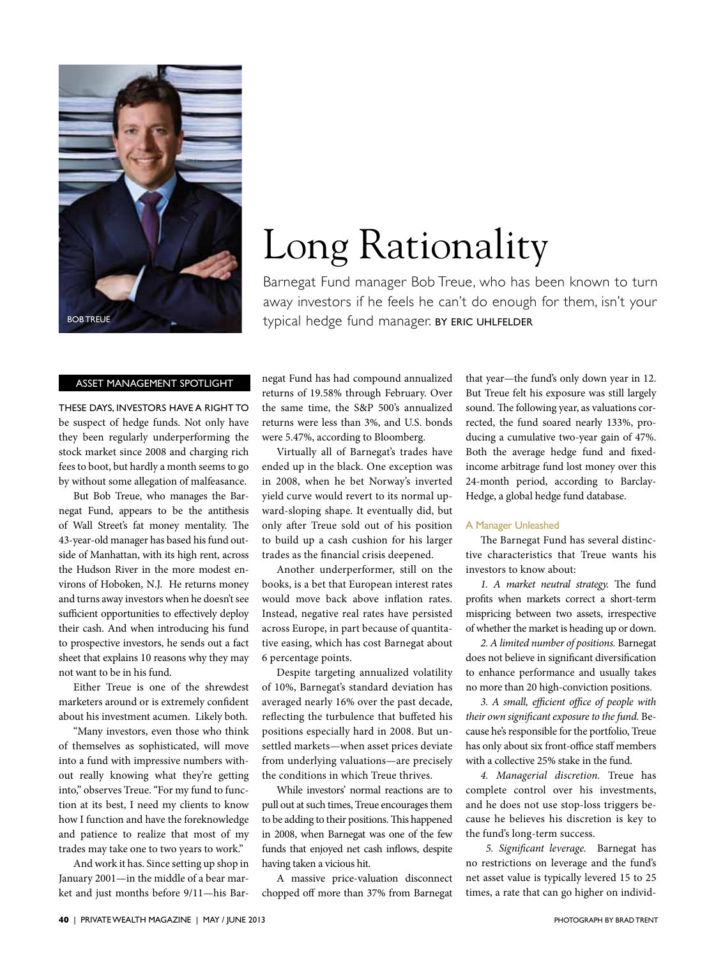

### Asset Management Spotlight

These days, investors have a right to be suspect of hedge funds. Not only have they been regularly underperforming the stock market since 2008 and charging rich fees to boot, but hardly a month seems to go by without some allegation of malfeasance.

But Bob Treue, who manages the Barnegat Fund, appears to be the antithesis of Wall Street's fat money mentality. The 43-year-old manager has based his fund outside of Manhattan, with its high rent, across the Hudson River in the more modest environs of Hoboken, N.J. He returns money and turns away investors when he doesn't see sufficient opportunities to effectively deploy their cash. And when introducing his fund to prospective investors, he sends out a fact sheet that explains 10 reasons why they may not want to be in his fund.

Either Treue is one of the shrewdest marketers around or is extremely confident about his investment acumen. Likely both.

"Many investors, even those who think of themselves as sophisticated, will move into a fund with impressive numbers without really knowing what they're getting into," observes Treue. "For my fund to function at its best, I need my clients to know how I function and have the foreknowledge and patience to realize that most of my trades may take one to two years to work."

And work it has. Since setting up shop in January 2001—in the middle of a bear market and just months before 9/11—his Bar-

# Long Rationality

Barnegat Fund manager Bob Treue, who has been known to turn away investors if he feels he can't do enough for them, isn't your typical hedge fund manager. BY ERIC UHLFELDER

negat Fund has had compound annualized returns of 19.58% through February. Over the same time, the S&P 500's annualized returns were less than 3%, and U.S. bonds were 5.47%, according to Bloomberg.

Virtually all of Barnegat's trades have ended up in the black. One exception was in 2008, when he bet Norway's inverted yield curve would revert to its normal upward-sloping shape. It eventually did, but only after Treue sold out of his position to build up a cash cushion for his larger trades as the financial crisis deepened.

Another underperformer, still on the books, is a bet that European interest rates would move back above inflation rates. Instead, negative real rates have persisted across Europe, in part because of quantitative easing, which has cost Barnegat about 6 percentage points.

Despite targeting annualized volatility of 10%, Barnegat's standard deviation has averaged nearly 16% over the past decade, reflecting the turbulence that buffeted his positions especially hard in 2008. But unsettled markets—when asset prices deviate from underlying valuations—are precisely the conditions in which Treue thrives.

While investors' normal reactions are to pull out at such times, Treue encourages them to be adding to their positions. This happened in 2008, when Barnegat was one of the few funds that enjoyed net cash inflows, despite having taken a vicious hit.

A massive price-valuation disconnect chopped off more than 37% from Barnegat that year—the fund's only down year in 12. But Treue felt his exposure was still largely sound. The following year, as valuations corrected, the fund soared nearly 133%, producing a cumulative two-year gain of 47%. Both the average hedge fund and fixedincome arbitrage fund lost money over this 24-month period, according to Barclay-Hedge, a global hedge fund database.

#### A Manager Unleashed

The Barnegat Fund has several distinctive characteristics that Treue wants his investors to know about:

*1. A market neutral strategy.* The fund profits when markets correct a short-term mispricing between two assets, irrespective of whether the market is heading up or down.

*2. A limited number of positions.* Barnegat does not believe in significant diversification to enhance performance and usually takes no more than 20 high-conviction positions.

*3. A small, efficient office of people with their own significant exposure to the fund.* Because he's responsible for the portfolio, Treue has only about six front-office staff members with a collective 25% stake in the fund.

*4. Managerial discretion.* Treue has complete control over his investments, and he does not use stop-loss triggers because he believes his discretion is key to the fund's long-term success.

 *5. Significant leverage.* Barnegat has no restrictions on leverage and the fund's net asset value is typically levered 15 to 25 times, a rate that can go higher on individ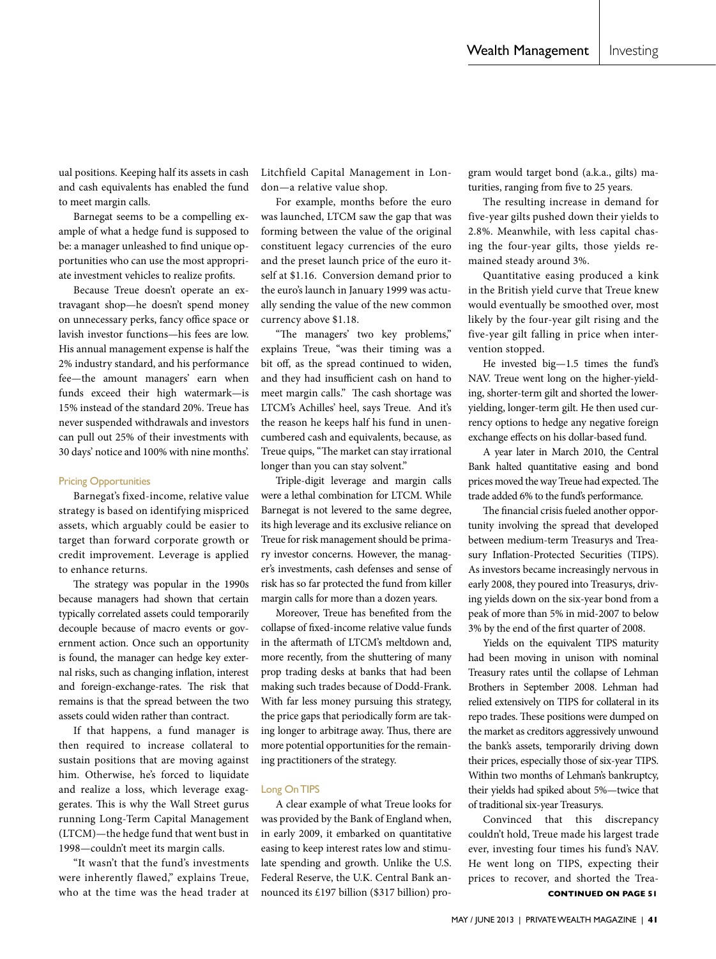ual positions. Keeping half its assets in cash and cash equivalents has enabled the fund to meet margin calls.

Barnegat seems to be a compelling example of what a hedge fund is supposed to be: a manager unleashed to find unique opportunities who can use the most appropriate investment vehicles to realize profits.

Because Treue doesn't operate an extravagant shop—he doesn't spend money on unnecessary perks, fancy office space or lavish investor functions—his fees are low. His annual management expense is half the 2% industry standard, and his performance fee—the amount managers' earn when funds exceed their high watermark—is 15% instead of the standard 20%. Treue has never suspended withdrawals and investors can pull out 25% of their investments with 30 days' notice and 100% with nine months'.

#### Pricing Opportunities

Barnegat's fixed-income, relative value strategy is based on identifying mispriced assets, which arguably could be easier to target than forward corporate growth or credit improvement. Leverage is applied to enhance returns.

The strategy was popular in the 1990s because managers had shown that certain typically correlated assets could temporarily decouple because of macro events or government action. Once such an opportunity is found, the manager can hedge key external risks, such as changing inflation, interest and foreign-exchange-rates. The risk that remains is that the spread between the two assets could widen rather than contract.

If that happens, a fund manager is then required to increase collateral to sustain positions that are moving against him. Otherwise, he's forced to liquidate and realize a loss, which leverage exaggerates. This is why the Wall Street gurus running Long-Term Capital Management (LTCM)—the hedge fund that went bust in 1998—couldn't meet its margin calls.

"It wasn't that the fund's investments were inherently flawed," explains Treue, who at the time was the head trader at Litchfield Capital Management in London—a relative value shop.

For example, months before the euro was launched, LTCM saw the gap that was forming between the value of the original constituent legacy currencies of the euro and the preset launch price of the euro itself at \$1.16. Conversion demand prior to the euro's launch in January 1999 was actually sending the value of the new common currency above \$1.18.

"The managers' two key problems," explains Treue, "was their timing was a bit off, as the spread continued to widen, and they had insufficient cash on hand to meet margin calls." The cash shortage was LTCM's Achilles' heel, says Treue. And it's the reason he keeps half his fund in unencumbered cash and equivalents, because, as Treue quips, "The market can stay irrational longer than you can stay solvent."

Triple-digit leverage and margin calls were a lethal combination for LTCM. While Barnegat is not levered to the same degree, its high leverage and its exclusive reliance on Treue for risk management should be primary investor concerns. However, the manager's investments, cash defenses and sense of risk has so far protected the fund from killer margin calls for more than a dozen years.

Moreover, Treue has benefited from the collapse of fixed-income relative value funds in the aftermath of LTCM's meltdown and, more recently, from the shuttering of many prop trading desks at banks that had been making such trades because of Dodd-Frank. With far less money pursuing this strategy, the price gaps that periodically form are taking longer to arbitrage away. Thus, there are more potential opportunities for the remaining practitioners of the strategy.

#### Long On TIPS

A clear example of what Treue looks for was provided by the Bank of England when, in early 2009, it embarked on quantitative easing to keep interest rates low and stimulate spending and growth. Unlike the U.S. Federal Reserve, the U.K. Central Bank announced its £197 billion (\$317 billion) pro-<br>**CONTINUED ON PAGE 51** 

gram would target bond (a.k.a., gilts) maturities, ranging from five to 25 years.

The resulting increase in demand for five-year gilts pushed down their yields to 2.8%. Meanwhile, with less capital chasing the four-year gilts, those yields remained steady around 3%.

Quantitative easing produced a kink in the British yield curve that Treue knew would eventually be smoothed over, most likely by the four-year gilt rising and the five-year gilt falling in price when intervention stopped.

He invested big—1.5 times the fund's NAV. Treue went long on the higher-yielding, shorter-term gilt and shorted the loweryielding, longer-term gilt. He then used currency options to hedge any negative foreign exchange effects on his dollar-based fund.

A year later in March 2010, the Central Bank halted quantitative easing and bond prices moved the way Treue had expected. The trade added 6% to the fund's performance.

The financial crisis fueled another opportunity involving the spread that developed between medium-term Treasurys and Treasury Inflation-Protected Securities (TIPS). As investors became increasingly nervous in early 2008, they poured into Treasurys, driving yields down on the six-year bond from a peak of more than 5% in mid-2007 to below 3% by the end of the first quarter of 2008.

Yields on the equivalent TIPS maturity had been moving in unison with nominal Treasury rates until the collapse of Lehman Brothers in September 2008. Lehman had relied extensively on TIPS for collateral in its repo trades. These positions were dumped on the market as creditors aggressively unwound the bank's assets, temporarily driving down their prices, especially those of six-year TIPS. Within two months of Lehman's bankruptcy, their yields had spiked about 5%—twice that of traditional six-year Treasurys.

Convinced that this discrepancy couldn't hold, Treue made his largest trade ever, investing four times his fund's NAV. He went long on TIPS, expecting their prices to recover, and shorted the Trea-